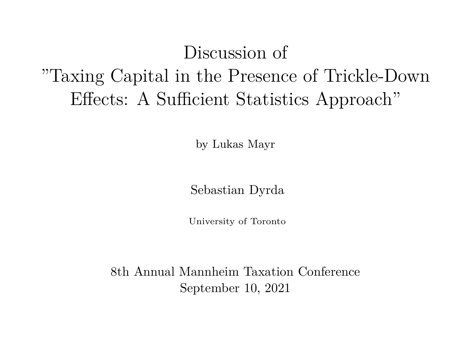## Discussion of "Taxing Capital in the Presence of Trickle-Down Effects: A Sufficient Statistics Approach"

by Lukas Mayr

Sebastian Dyrda

University of Toronto

8th Annual Mannheim Taxation Conference September 10, 2021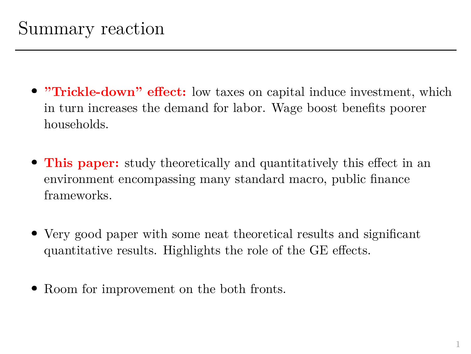- **"Trickle-down" effect:** low taxes on capital induce investment, which in turn increases the demand for labor. Wage boost benefits poorer households.
- **This paper:** study theoretically and quantitatively this effect in an environment encompassing many standard macro, public finance frameworks.
- Very good paper with some neat theoretical results and significant quantitative results. Highlights the role of the GE effects.
- Room for improvement on the both fronts.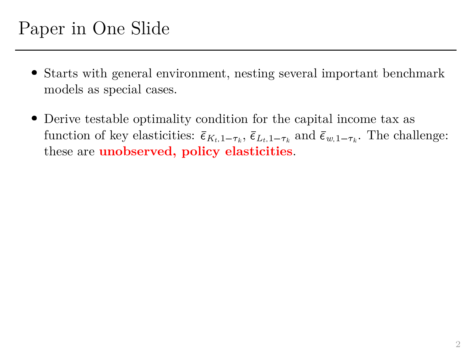- Starts with general environment, nesting several important benchmark models as special cases.
- Derive testable optimality condition for the capital income tax as Function of the Slide<br>Starts with general environment, n<br>models as special cases.<br>Derive testable optimality condition<br>function of key elasticities:  $\bar{\epsilon}_{K_t,1-\tau_k}$ esting se<br>
n for the<br>  $\overline{\epsilon}_{L_t,1-\tau_k}$ Find import<br>  $\begin{array}{l} \hbox{capital in} \\ \hbox{and} \ \bar{\epsilon}_{w,1-\tau_k} \end{array}$ function of key elasticities:  $\bar{\epsilon}_{K_t,1-\tau_k}$ ,  $\bar{\epsilon}_{L_t,1-\tau_k}$  and  $\bar{\epsilon}_{w,1-\tau_k}$ . The challenge: these are **unobserved, policy elasticities**.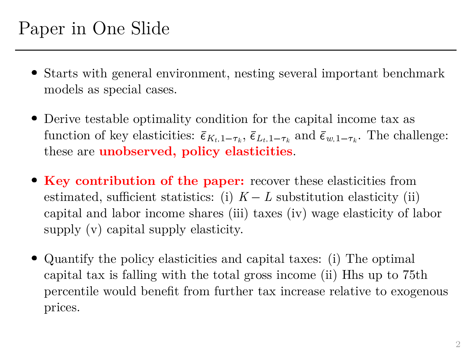- Starts with general environment, nesting several important benchmark models as special cases.
- Derive testable optimality condition for the capital income tax as Function of the Slide<br>Starts with general environment, n<br>models as special cases.<br>Derive testable optimality condition<br>function of key elasticities:  $\bar{\epsilon}_{K_t,1-\tau_k}$ esting se<br>
n for the<br>  $\overline{\epsilon}_{L_t,1-\tau_k}$ Find import<br>  $\begin{array}{l} \hbox{capital in} \\ \hbox{and} \ \bar{\epsilon}_{w,1-\tau_k} \end{array}$ function of key elasticities:  $\bar{\epsilon}_{K_t,1-\tau_k}, \bar{\epsilon}_{L_t,1-\tau_k}$  and  $\bar{\epsilon}_{w,1-\tau_k}$ . The challenge: these are **unobserved, policy elasticities**.
- **Key contribution of the paper:** recover these elasticities from estimated, sufficient statistics: (i)  $K - L$  substitution elasticity (ii) capital and labor income shares (iii) taxes (iv) wage elasticity of labor supply (v) capital supply elasticity.
- Quantify the policy elasticities and capital taxes: (i) The optimal capital tax is falling with the total gross income (ii) Hhs up to 75th percentile would benefit from further tax increase relative to exogenous prices.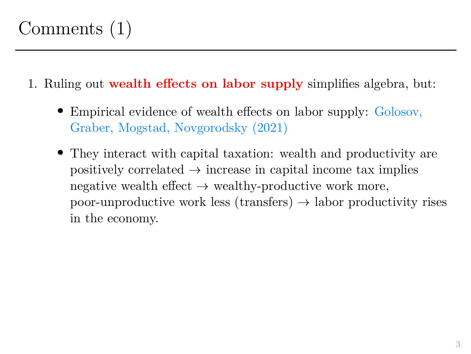## Comments (1)

- 1. Ruling out **wealth effects on labor supply** simplifies algebra, but:
	- Empirical evidence of wealth effects on labor supply: Golosov, Graber, Mogstad, Novgorodsky (2021)
	- They interact with capital taxation: wealth and productivity are positively correlated  $\rightarrow$  increase in capital income tax implies negative wealth effect  $\rightarrow$  wealthy-productive work more, poor-unproductive work less (transfers)  $\rightarrow$  labor productivity rises in the economy.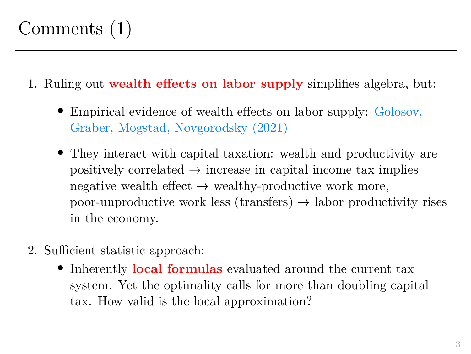- 1. Ruling out **wealth effects on labor supply** simplifies algebra, but:
	- Empirical evidence of wealth effects on labor supply: Golosov, Graber, Mogstad, Novgorodsky (2021)
	- They interact with capital taxation: wealth and productivity are positively correlated  $\rightarrow$  increase in capital income tax implies negative wealth effect  $\rightarrow$  wealthy-productive work more, poor-unproductive work less (transfers)  $\rightarrow$  labor productivity rises in the economy.
- 2. Sufficient statistic approach:
	- **•** Inherently **local formulas** evaluated around the current tax system. Yet the optimality calls for more than doubling capital tax. How valid is the local approximation?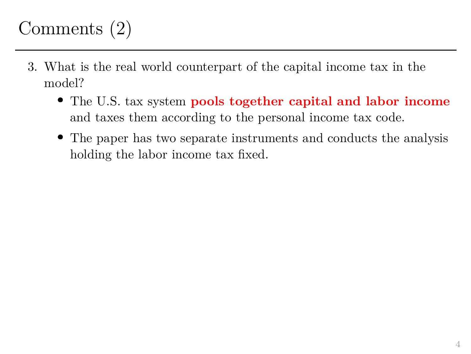## Comments (2)

- 3. What is the real world counterpart of the capital income tax in the model?
	- The U.S. tax system **pools together capital and labor income** and taxes them according to the personal income tax code.
	- The paper has two separate instruments and conducts the analysis holding the labor income tax fixed.